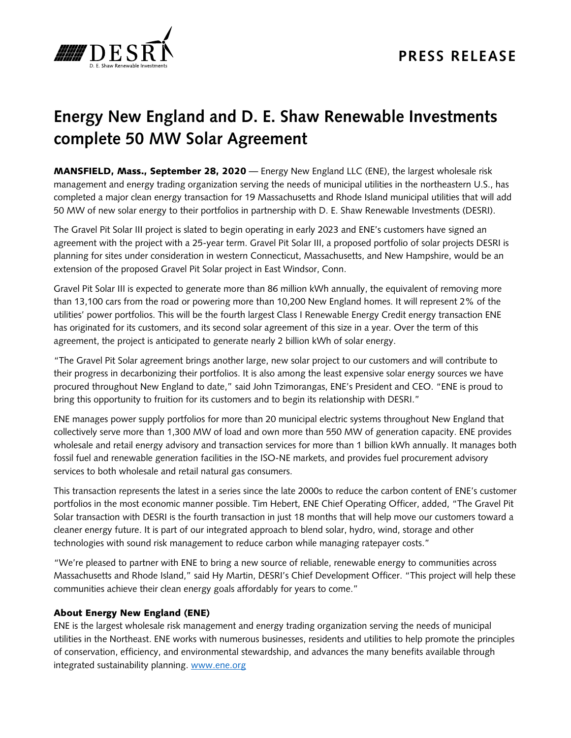

# **Energy New England and D. E. Shaw Renewable Investments complete 50 MW Solar Agreement**

MANSFIELD, Mass., September 28, 2020 — Energy New England LLC (ENE), the largest wholesale risk management and energy trading organization serving the needs of municipal utilities in the northeastern U.S., has completed a major clean energy transaction for 19 Massachusetts and Rhode Island municipal utilities that will add 50 MW of new solar energy to their portfolios in partnership with D. E. Shaw Renewable Investments (DESRI).

The Gravel Pit Solar III project is slated to begin operating in early 2023 and ENE's customers have signed an agreement with the project with a 25-year term. Gravel Pit Solar III, a proposed portfolio of solar projects DESRI is planning for sites under consideration in western Connecticut, Massachusetts, and New Hampshire, would be an extension of the proposed Gravel Pit Solar project in East Windsor, Conn.

Gravel Pit Solar III is expected to generate more than 86 million kWh annually, the equivalent of removing more than 13,100 cars from the road or powering more than 10,200 New England homes. It will represent 2% of the utilities' power portfolios. This will be the fourth largest Class I Renewable Energy Credit energy transaction ENE has originated for its customers, and its second solar agreement of this size in a year. Over the term of this agreement, the project is anticipated to generate nearly 2 billion kWh of solar energy.

"The Gravel Pit Solar agreement brings another large, new solar project to our customers and will contribute to their progress in decarbonizing their portfolios. It is also among the least expensive solar energy sources we have procured throughout New England to date," said John Tzimorangas, ENE's President and CEO. "ENE is proud to bring this opportunity to fruition for its customers and to begin its relationship with DESRI."

ENE manages power supply portfolios for more than 20 municipal electric systems throughout New England that collectively serve more than 1,300 MW of load and own more than 550 MW of generation capacity. ENE provides wholesale and retail energy advisory and transaction services for more than 1 billion kWh annually. It manages both fossil fuel and renewable generation facilities in the ISO-NE markets, and provides fuel procurement advisory services to both wholesale and retail natural gas consumers.

This transaction represents the latest in a series since the late 2000s to reduce the carbon content of ENE's customer portfolios in the most economic manner possible. Tim Hebert, ENE Chief Operating Officer, added, "The Gravel Pit Solar transaction with DESRI is the fourth transaction in just 18 months that will help move our customers toward a cleaner energy future. It is part of our integrated approach to blend solar, hydro, wind, storage and other technologies with sound risk management to reduce carbon while managing ratepayer costs."

"We're pleased to partner with ENE to bring a new source of reliable, renewable energy to communities across Massachusetts and Rhode Island," said Hy Martin, DESRI's Chief Development Officer. "This project will help these communities achieve their clean energy goals affordably for years to come."

## About Energy New England (ENE)

ENE is the largest wholesale risk management and energy trading organization serving the needs of municipal utilities in the Northeast. ENE works with numerous businesses, residents and utilities to help promote the principles of conservation, efficiency, and environmental stewardship, and advances the many benefits available through integrated sustainability planning. [www.ene.org](http://www.ene.org/)